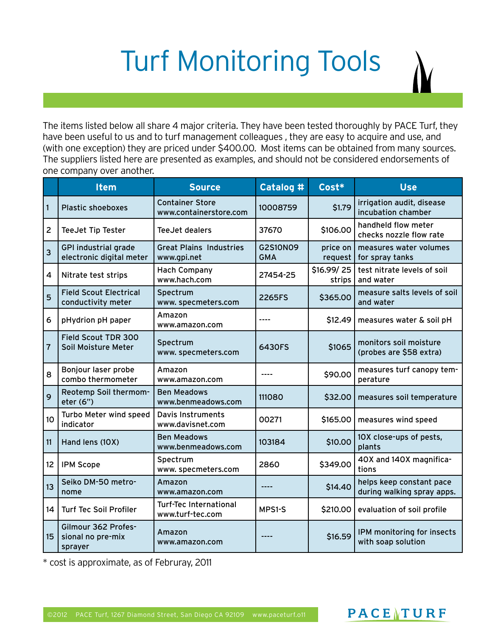## Turf Monitoring Tools

The items listed below all share 4 major criteria. They have been tested thoroughly by PACE Turf, they have been useful to us and to turf management colleagues , they are easy to acquire and use, and (with one exception) they are priced under \$400.00. Most items can be obtained from many sources. The suppliers listed here are presented as examples, and should not be considered endorsements of one company over another.

|                | <b>Item</b>                                             | <b>Source</b>                                     | Catalog #                     | Cost*                | <b>Use</b>                                             |
|----------------|---------------------------------------------------------|---------------------------------------------------|-------------------------------|----------------------|--------------------------------------------------------|
| $\vert$ 1      | <b>Plastic shoeboxes</b>                                | <b>Container Store</b><br>www.containerstore.com  | 10008759                      | \$1.79               | irrigation audit, disease<br>incubation chamber        |
| $\overline{2}$ | TeeJet Tip Tester                                       | TeeJet dealers                                    | 37670                         | \$106.00             | handheld flow meter<br>checks nozzle flow rate         |
| 3              | <b>GPI industrial grade</b><br>electronic digital meter | <b>Great Plains Industries</b><br>www.gpi.net     | <b>G2S10N09</b><br><b>GMA</b> | price on<br>request  | measures water volumes<br>for spray tanks              |
| 4              | Nitrate test strips                                     | <b>Hach Company</b><br>www.hach.com               | 27454-25                      | \$16.99/25<br>strips | test nitrate levels of soil<br>and water               |
| 5              | <b>Field Scout Electrical</b><br>conductivity meter     | Spectrum<br>www.specmeters.com                    | 2265FS                        | \$365.00             | measure salts levels of soil<br>and water              |
| 6              | pHydrion pH paper                                       | Amazon<br>www.amazon.com                          |                               | \$12.49              | measures water & soil pH                               |
| $\overline{7}$ | Field Scout TDR 300<br>Soil Moisture Meter              | Spectrum<br>www.specmeters.com                    | 6430FS                        | \$1065               | monitors soil moisture<br>(probes are \$58 extra)      |
| 8              | Bonjour laser probe<br>combo thermometer                | Amazon<br>www.amazon.com                          |                               | \$90.00              | measures turf canopy tem-<br>perature                  |
| 9              | Reotemp Soil thermom-<br>eter (6")                      | <b>Ben Meadows</b><br>www.benmeadows.com          | 111080                        | \$32.00              | measures soil temperature                              |
| 10             | Turbo Meter wind speed<br>indicator                     | Davis Instruments<br>www.davisnet.com             | 00271                         | \$165.00             | measures wind speed                                    |
| 11             | Hand lens (10X)                                         | <b>Ben Meadows</b><br>www.benmeadows.com          | 103184                        | \$10.00              | 10X close-ups of pests,<br>plants                      |
| 12             | <b>IPM Scope</b>                                        | Spectrum<br>www.specmeters.com                    | 2860                          | \$349.00             | 40X and 140X magnifica-<br>tions                       |
| 13             | Seiko DM-50 metro-<br>nome                              | Amazon<br>www.amazon.com                          | ----                          | \$14.40              | helps keep constant pace<br>during walking spray apps. |
| 14             | <b>Turf Tec Soil Profiler</b>                           | <b>Turf-Tec International</b><br>www.turf-tec.com | MPS1-S                        | \$210.00             | evaluation of soil profile                             |
| 15             | Gilmour 362 Profes-<br>sional no pre-mix<br>sprayer     | Amazon<br>www.amazon.com                          |                               | \$16.59              | IPM monitoring for insects<br>with soap solution       |

\* cost is approximate, as of Februray, 2011